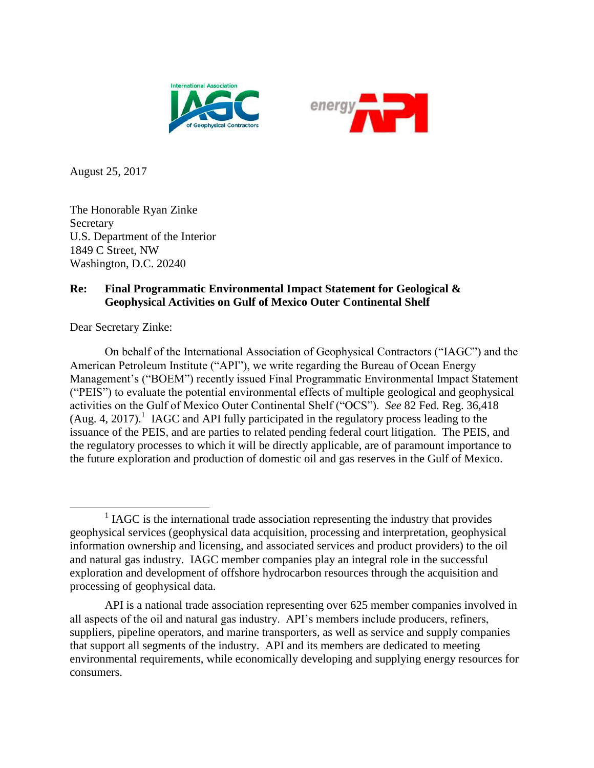



August 25, 2017

The Honorable Ryan Zinke **Secretary** U.S. Department of the Interior 1849 C Street, NW Washington, D.C. 20240

# **Re: Final Programmatic Environmental Impact Statement for Geological & Geophysical Activities on Gulf of Mexico Outer Continental Shelf**

Dear Secretary Zinke:

On behalf of the International Association of Geophysical Contractors ("IAGC") and the American Petroleum Institute ("API"), we write regarding the Bureau of Ocean Energy Management's ("BOEM") recently issued Final Programmatic Environmental Impact Statement ("PEIS") to evaluate the potential environmental effects of multiple geological and geophysical activities on the Gulf of Mexico Outer Continental Shelf ("OCS"). *See* 82 Fed. Reg. 36,418  $(Aug. 4, 2017).$ <sup>1</sup> IAGC and API fully participated in the regulatory process leading to the issuance of the PEIS, and are parties to related pending federal court litigation. The PEIS, and the regulatory processes to which it will be directly applicable, are of paramount importance to the future exploration and production of domestic oil and gas reserves in the Gulf of Mexico.

 $\overline{a}$  $<sup>1</sup>$  IAGC is the international trade association representing the industry that provides</sup> geophysical services (geophysical data acquisition, processing and interpretation, geophysical information ownership and licensing, and associated services and product providers) to the oil and natural gas industry. IAGC member companies play an integral role in the successful exploration and development of offshore hydrocarbon resources through the acquisition and processing of geophysical data.

API is a national trade association representing over 625 member companies involved in all aspects of the oil and natural gas industry. API's members include producers, refiners, suppliers, pipeline operators, and marine transporters, as well as service and supply companies that support all segments of the industry. API and its members are dedicated to meeting environmental requirements, while economically developing and supplying energy resources for consumers.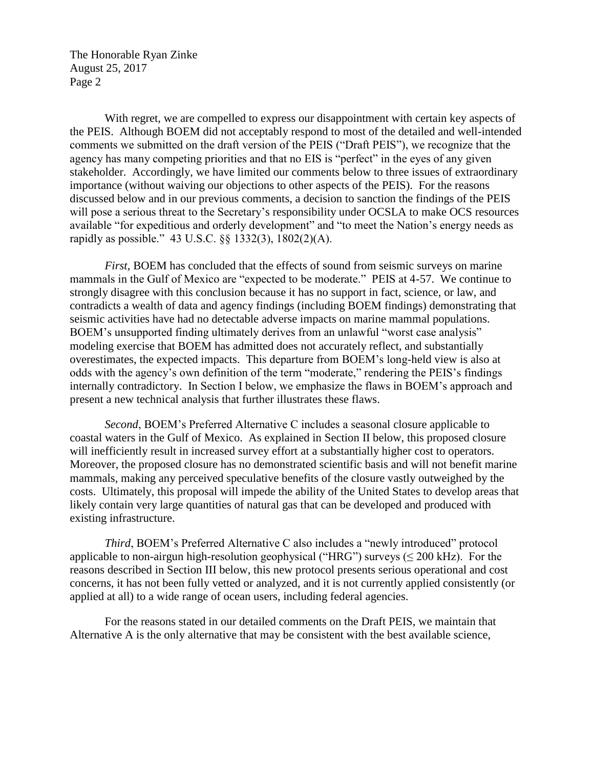With regret, we are compelled to express our disappointment with certain key aspects of the PEIS. Although BOEM did not acceptably respond to most of the detailed and well-intended comments we submitted on the draft version of the PEIS ("Draft PEIS"), we recognize that the agency has many competing priorities and that no EIS is "perfect" in the eyes of any given stakeholder. Accordingly, we have limited our comments below to three issues of extraordinary importance (without waiving our objections to other aspects of the PEIS). For the reasons discussed below and in our previous comments, a decision to sanction the findings of the PEIS will pose a serious threat to the Secretary's responsibility under OCSLA to make OCS resources available "for expeditious and orderly development" and "to meet the Nation's energy needs as rapidly as possible." 43 U.S.C. §§ 1332(3), 1802(2)(A).

*First*, BOEM has concluded that the effects of sound from seismic surveys on marine mammals in the Gulf of Mexico are "expected to be moderate." PEIS at 4-57. We continue to strongly disagree with this conclusion because it has no support in fact, science, or law, and contradicts a wealth of data and agency findings (including BOEM findings) demonstrating that seismic activities have had no detectable adverse impacts on marine mammal populations. BOEM's unsupported finding ultimately derives from an unlawful "worst case analysis" modeling exercise that BOEM has admitted does not accurately reflect, and substantially overestimates, the expected impacts. This departure from BOEM's long-held view is also at odds with the agency's own definition of the term "moderate," rendering the PEIS's findings internally contradictory. In Section I below, we emphasize the flaws in BOEM's approach and present a new technical analysis that further illustrates these flaws.

*Second*, BOEM's Preferred Alternative C includes a seasonal closure applicable to coastal waters in the Gulf of Mexico. As explained in Section II below, this proposed closure will inefficiently result in increased survey effort at a substantially higher cost to operators. Moreover, the proposed closure has no demonstrated scientific basis and will not benefit marine mammals, making any perceived speculative benefits of the closure vastly outweighed by the costs. Ultimately, this proposal will impede the ability of the United States to develop areas that likely contain very large quantities of natural gas that can be developed and produced with existing infrastructure.

*Third*, BOEM's Preferred Alternative C also includes a "newly introduced" protocol applicable to non-airgun high-resolution geophysical ("HRG") surveys ( $\leq 200$  kHz). For the reasons described in Section III below, this new protocol presents serious operational and cost concerns, it has not been fully vetted or analyzed, and it is not currently applied consistently (or applied at all) to a wide range of ocean users, including federal agencies.

For the reasons stated in our detailed comments on the Draft PEIS, we maintain that Alternative A is the only alternative that may be consistent with the best available science,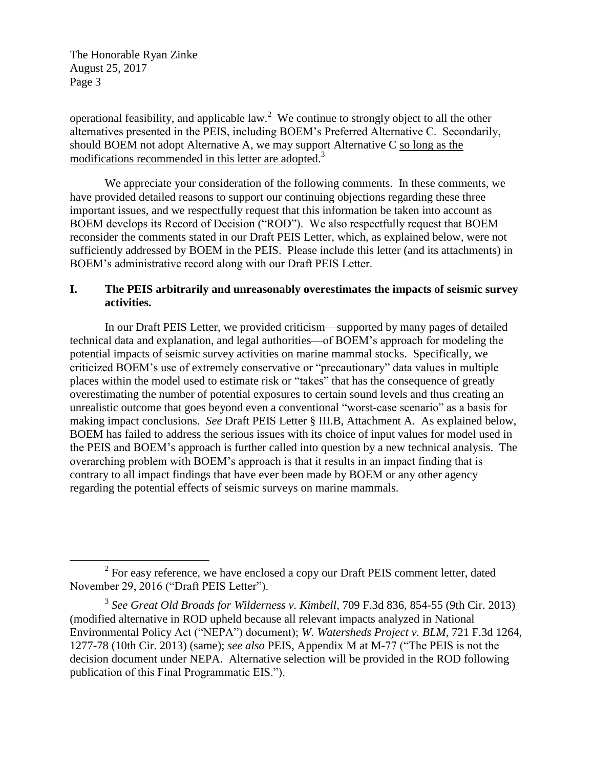$\overline{a}$ 

operational feasibility, and applicable  $law<sup>2</sup>$ . We continue to strongly object to all the other alternatives presented in the PEIS, including BOEM's Preferred Alternative C. Secondarily, should BOEM not adopt Alternative A, we may support Alternative C so long as the modifications recommended in this letter are adopted.<sup>3</sup>

We appreciate your consideration of the following comments. In these comments, we have provided detailed reasons to support our continuing objections regarding these three important issues, and we respectfully request that this information be taken into account as BOEM develops its Record of Decision ("ROD"). We also respectfully request that BOEM reconsider the comments stated in our Draft PEIS Letter, which, as explained below, were not sufficiently addressed by BOEM in the PEIS. Please include this letter (and its attachments) in BOEM's administrative record along with our Draft PEIS Letter.

# **I. The PEIS arbitrarily and unreasonably overestimates the impacts of seismic survey activities.**

In our Draft PEIS Letter, we provided criticism—supported by many pages of detailed technical data and explanation, and legal authorities—of BOEM's approach for modeling the potential impacts of seismic survey activities on marine mammal stocks. Specifically, we criticized BOEM's use of extremely conservative or "precautionary" data values in multiple places within the model used to estimate risk or "takes" that has the consequence of greatly overestimating the number of potential exposures to certain sound levels and thus creating an unrealistic outcome that goes beyond even a conventional "worst-case scenario" as a basis for making impact conclusions. *See* Draft PEIS Letter § III.B, Attachment A. As explained below, BOEM has failed to address the serious issues with its choice of input values for model used in the PEIS and BOEM's approach is further called into question by a new technical analysis. The overarching problem with BOEM's approach is that it results in an impact finding that is contrary to all impact findings that have ever been made by BOEM or any other agency regarding the potential effects of seismic surveys on marine mammals.

 $2^2$  For easy reference, we have enclosed a copy our Draft PEIS comment letter, dated November 29, 2016 ("Draft PEIS Letter").

<sup>3</sup> *See Great Old Broads for Wilderness v. Kimbell*, 709 F.3d 836, 854-55 (9th Cir. 2013) (modified alternative in ROD upheld because all relevant impacts analyzed in National Environmental Policy Act ("NEPA") document); *W. Watersheds Project v. BLM*, 721 F.3d 1264, 1277-78 (10th Cir. 2013) (same); *see also* PEIS, Appendix M at M-77 ("The PEIS is not the decision document under NEPA. Alternative selection will be provided in the ROD following publication of this Final Programmatic EIS.").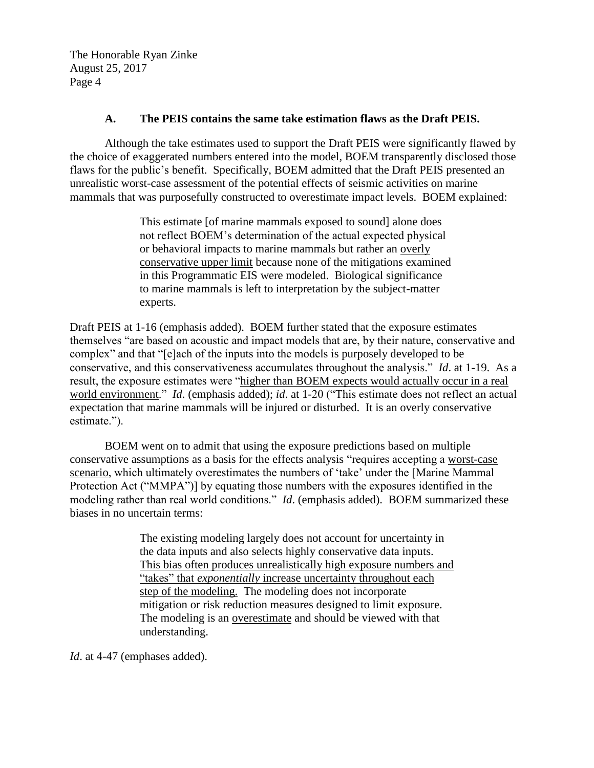### **A. The PEIS contains the same take estimation flaws as the Draft PEIS.**

Although the take estimates used to support the Draft PEIS were significantly flawed by the choice of exaggerated numbers entered into the model, BOEM transparently disclosed those flaws for the public's benefit. Specifically, BOEM admitted that the Draft PEIS presented an unrealistic worst-case assessment of the potential effects of seismic activities on marine mammals that was purposefully constructed to overestimate impact levels. BOEM explained:

> This estimate [of marine mammals exposed to sound] alone does not reflect BOEM's determination of the actual expected physical or behavioral impacts to marine mammals but rather an overly conservative upper limit because none of the mitigations examined in this Programmatic EIS were modeled. Biological significance to marine mammals is left to interpretation by the subject-matter experts.

Draft PEIS at 1-16 (emphasis added). BOEM further stated that the exposure estimates themselves "are based on acoustic and impact models that are, by their nature, conservative and complex" and that "[e]ach of the inputs into the models is purposely developed to be conservative, and this conservativeness accumulates throughout the analysis." *Id*. at 1-19. As a result, the exposure estimates were "higher than BOEM expects would actually occur in a real world environment." *Id*. (emphasis added); *id*. at 1-20 ("This estimate does not reflect an actual expectation that marine mammals will be injured or disturbed. It is an overly conservative estimate.").

BOEM went on to admit that using the exposure predictions based on multiple conservative assumptions as a basis for the effects analysis "requires accepting a worst-case scenario, which ultimately overestimates the numbers of 'take' under the [Marine Mammal Protection Act ("MMPA")] by equating those numbers with the exposures identified in the modeling rather than real world conditions." *Id*. (emphasis added). BOEM summarized these biases in no uncertain terms:

> The existing modeling largely does not account for uncertainty in the data inputs and also selects highly conservative data inputs. This bias often produces unrealistically high exposure numbers and "takes" that *exponentially* increase uncertainty throughout each step of the modeling. The modeling does not incorporate mitigation or risk reduction measures designed to limit exposure. The modeling is an overestimate and should be viewed with that understanding.

*Id*. at 4-47 (emphases added).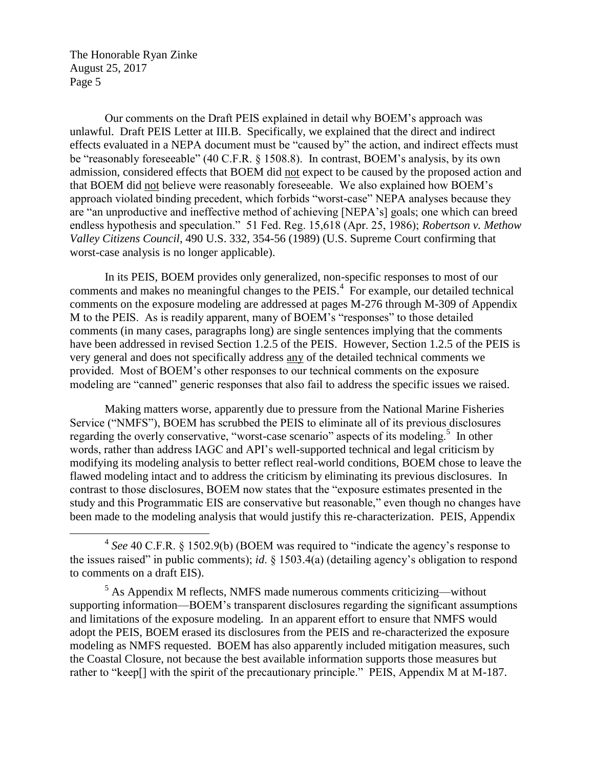$\overline{a}$ 

Our comments on the Draft PEIS explained in detail why BOEM's approach was unlawful. Draft PEIS Letter at III.B. Specifically, we explained that the direct and indirect effects evaluated in a NEPA document must be "caused by" the action, and indirect effects must be "reasonably foreseeable" (40 C.F.R. § 1508.8). In contrast, BOEM's analysis, by its own admission, considered effects that BOEM did not expect to be caused by the proposed action and that BOEM did not believe were reasonably foreseeable. We also explained how BOEM's approach violated binding precedent, which forbids "worst-case" NEPA analyses because they are "an unproductive and ineffective method of achieving [NEPA's] goals; one which can breed endless hypothesis and speculation." 51 Fed. Reg. 15,618 (Apr. 25, 1986); *Robertson v. Methow Valley Citizens Council*, 490 U.S. 332, 354-56 (1989) (U.S. Supreme Court confirming that worst-case analysis is no longer applicable).

In its PEIS, BOEM provides only generalized, non-specific responses to most of our comments and makes no meaningful changes to the  $PEIS<sup>4</sup>$ . For example, our detailed technical comments on the exposure modeling are addressed at pages M-276 through M-309 of Appendix M to the PEIS. As is readily apparent, many of BOEM's "responses" to those detailed comments (in many cases, paragraphs long) are single sentences implying that the comments have been addressed in revised Section 1.2.5 of the PEIS. However, Section 1.2.5 of the PEIS is very general and does not specifically address any of the detailed technical comments we provided. Most of BOEM's other responses to our technical comments on the exposure modeling are "canned" generic responses that also fail to address the specific issues we raised.

Making matters worse, apparently due to pressure from the National Marine Fisheries Service ("NMFS"), BOEM has scrubbed the PEIS to eliminate all of its previous disclosures regarding the overly conservative, "worst-case scenario" aspects of its modeling.<sup>5</sup> In other words, rather than address IAGC and API's well-supported technical and legal criticism by modifying its modeling analysis to better reflect real-world conditions, BOEM chose to leave the flawed modeling intact and to address the criticism by eliminating its previous disclosures. In contrast to those disclosures, BOEM now states that the "exposure estimates presented in the study and this Programmatic EIS are conservative but reasonable," even though no changes have been made to the modeling analysis that would justify this re-characterization. PEIS, Appendix

<sup>&</sup>lt;sup>4</sup> See 40 C.F.R. § 1502.9(b) (BOEM was required to "indicate the agency's response to the issues raised" in public comments); *id*. § 1503.4(a) (detailing agency's obligation to respond to comments on a draft EIS).

 $<sup>5</sup>$  As Appendix M reflects, NMFS made numerous comments criticizing—without</sup> supporting information—BOEM's transparent disclosures regarding the significant assumptions and limitations of the exposure modeling. In an apparent effort to ensure that NMFS would adopt the PEIS, BOEM erased its disclosures from the PEIS and re-characterized the exposure modeling as NMFS requested. BOEM has also apparently included mitigation measures, such the Coastal Closure, not because the best available information supports those measures but rather to "keep[] with the spirit of the precautionary principle." PEIS, Appendix M at M-187.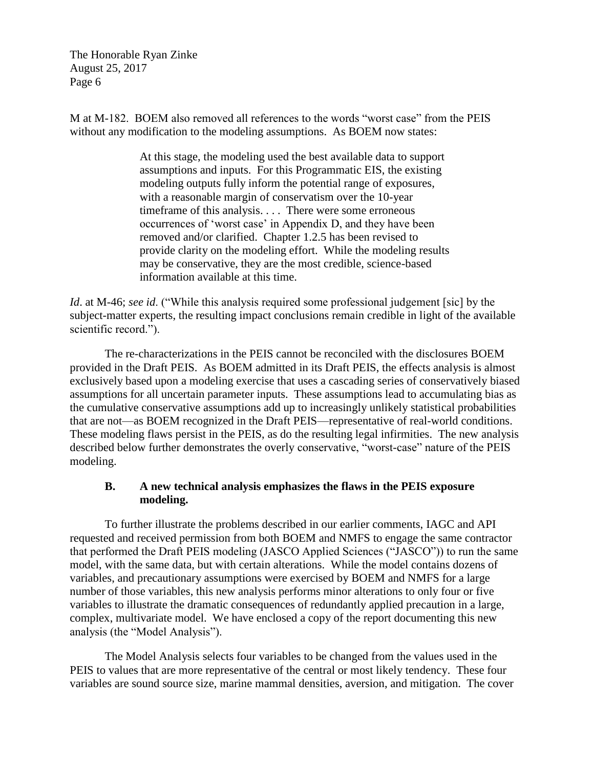M at M-182. BOEM also removed all references to the words "worst case" from the PEIS without any modification to the modeling assumptions. As BOEM now states:

> At this stage, the modeling used the best available data to support assumptions and inputs. For this Programmatic EIS, the existing modeling outputs fully inform the potential range of exposures, with a reasonable margin of conservatism over the 10-year timeframe of this analysis. . . . There were some erroneous occurrences of 'worst case' in Appendix D, and they have been removed and/or clarified. Chapter 1.2.5 has been revised to provide clarity on the modeling effort. While the modeling results may be conservative, they are the most credible, science-based information available at this time.

*Id*. at M-46; *see id*. ("While this analysis required some professional judgement [sic] by the subject-matter experts, the resulting impact conclusions remain credible in light of the available scientific record.").

The re-characterizations in the PEIS cannot be reconciled with the disclosures BOEM provided in the Draft PEIS. As BOEM admitted in its Draft PEIS, the effects analysis is almost exclusively based upon a modeling exercise that uses a cascading series of conservatively biased assumptions for all uncertain parameter inputs. These assumptions lead to accumulating bias as the cumulative conservative assumptions add up to increasingly unlikely statistical probabilities that are not—as BOEM recognized in the Draft PEIS—representative of real-world conditions. These modeling flaws persist in the PEIS, as do the resulting legal infirmities. The new analysis described below further demonstrates the overly conservative, "worst-case" nature of the PEIS modeling.

# **B. A new technical analysis emphasizes the flaws in the PEIS exposure modeling.**

To further illustrate the problems described in our earlier comments, IAGC and API requested and received permission from both BOEM and NMFS to engage the same contractor that performed the Draft PEIS modeling (JASCO Applied Sciences ("JASCO")) to run the same model, with the same data, but with certain alterations. While the model contains dozens of variables, and precautionary assumptions were exercised by BOEM and NMFS for a large number of those variables, this new analysis performs minor alterations to only four or five variables to illustrate the dramatic consequences of redundantly applied precaution in a large, complex, multivariate model. We have enclosed a copy of the report documenting this new analysis (the "Model Analysis").

The Model Analysis selects four variables to be changed from the values used in the PEIS to values that are more representative of the central or most likely tendency. These four variables are sound source size, marine mammal densities, aversion, and mitigation. The cover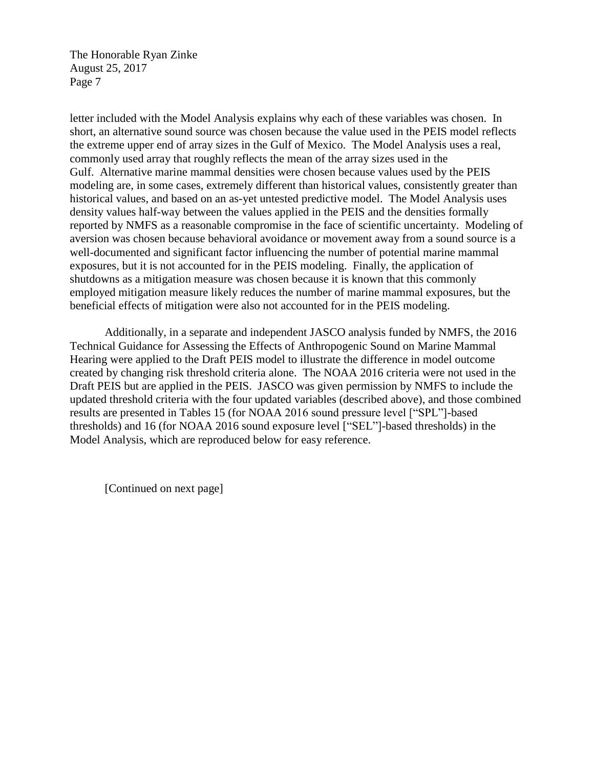letter included with the Model Analysis explains why each of these variables was chosen. In short, an alternative sound source was chosen because the value used in the PEIS model reflects the extreme upper end of array sizes in the Gulf of Mexico. The Model Analysis uses a real, commonly used array that roughly reflects the mean of the array sizes used in the Gulf. Alternative marine mammal densities were chosen because values used by the PEIS modeling are, in some cases, extremely different than historical values, consistently greater than historical values, and based on an as-yet untested predictive model. The Model Analysis uses density values half-way between the values applied in the PEIS and the densities formally reported by NMFS as a reasonable compromise in the face of scientific uncertainty. Modeling of aversion was chosen because behavioral avoidance or movement away from a sound source is a well-documented and significant factor influencing the number of potential marine mammal exposures, but it is not accounted for in the PEIS modeling. Finally, the application of shutdowns as a mitigation measure was chosen because it is known that this commonly employed mitigation measure likely reduces the number of marine mammal exposures, but the beneficial effects of mitigation were also not accounted for in the PEIS modeling.

Additionally, in a separate and independent JASCO analysis funded by NMFS, the 2016 Technical Guidance for Assessing the Effects of Anthropogenic Sound on Marine Mammal Hearing were applied to the Draft PEIS model to illustrate the difference in model outcome created by changing risk threshold criteria alone. The NOAA 2016 criteria were not used in the Draft PEIS but are applied in the PEIS. JASCO was given permission by NMFS to include the updated threshold criteria with the four updated variables (described above), and those combined results are presented in Tables 15 (for NOAA 2016 sound pressure level ["SPL"]-based thresholds) and 16 (for NOAA 2016 sound exposure level ["SEL"]-based thresholds) in the Model Analysis, which are reproduced below for easy reference.

[Continued on next page]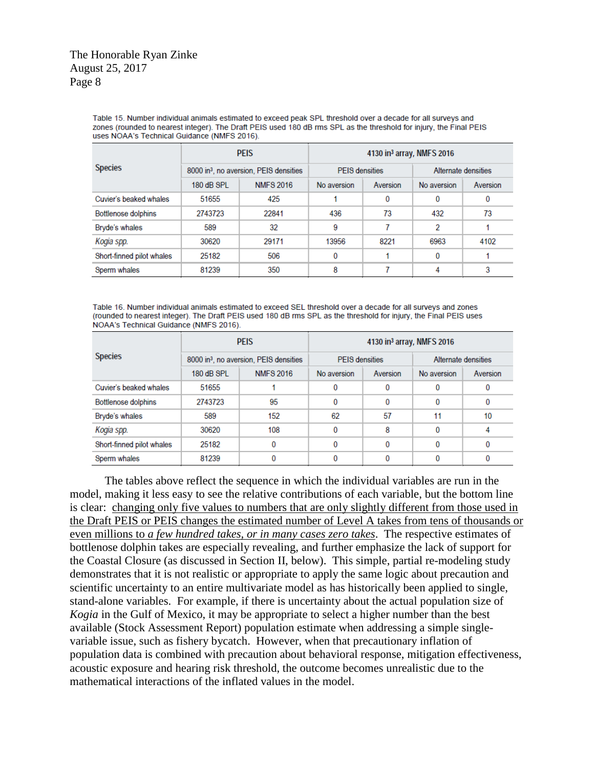Table 15. Number individual animals estimated to exceed peak SPL threshold over a decade for all surveys and zones (rounded to nearest integer). The Draft PEIS used 180 dB rms SPL as the threshold for injury, the Final PEIS uses NOAA's Technical Guidance (NMFS 2016).

| <b>Species</b>            | <b>PEIS</b>                                        |                  | 4130 in <sup>3</sup> array, NMFS 2016 |          |                     |          |  |
|---------------------------|----------------------------------------------------|------------------|---------------------------------------|----------|---------------------|----------|--|
|                           | 8000 in <sup>3</sup> , no aversion, PEIS densities |                  | <b>PFIS</b> densities                 |          | Alternate densities |          |  |
|                           | 180 dB SPL                                         | <b>NMFS 2016</b> | No aversion                           | Aversion | No aversion         | Aversion |  |
| Cuvier's beaked whales    | 51655                                              | 425              |                                       | 0        | $\Omega$            | 0        |  |
| Bottlenose dolphins       | 2743723                                            | 22841            | 436                                   | 73       | 432                 | 73       |  |
| Bryde's whales            | 589                                                | 32               | 9                                     | 7        | 2                   |          |  |
| Kogia spp.                | 30620                                              | 29171            | 13956                                 | 8221     | 6963                | 4102     |  |
| Short-finned pilot whales | 25182                                              | 506              | 0                                     |          | 0                   |          |  |
| Sperm whales              | 81239                                              | 350              | 8                                     |          | 4                   | 3        |  |

Table 16. Number individual animals estimated to exceed SEL threshold over a decade for all surveys and zones (rounded to nearest integer). The Draft PEIS used 180 dB rms SPL as the threshold for injury, the Final PEIS uses NOAA's Technical Guidance (NMFS 2016).

| <b>Species</b>            | <b>PEIS</b>                                        |                  | 4130 in <sup>3</sup> array, NMFS 2016 |          |                     |          |  |
|---------------------------|----------------------------------------------------|------------------|---------------------------------------|----------|---------------------|----------|--|
|                           | 8000 in <sup>3</sup> , no aversion, PEIS densities |                  | <b>PEIS</b> densities                 |          | Alternate densities |          |  |
|                           | 180 dB SPL                                         | <b>NMFS 2016</b> | No aversion                           | Aversion | No aversion         | Aversion |  |
| Cuvier's beaked whales    | 51655                                              |                  | 0                                     | 0        | 0                   | 0        |  |
| Bottlenose dolphins       | 2743723                                            | 95               | 0                                     | 0        | 0                   | 0        |  |
| Bryde's whales            | 589                                                | 152              | 62                                    | 57       | 11                  | 10       |  |
| Kogia spp.                | 30620                                              | 108              | 0                                     | 8        | 0                   |          |  |
| Short-finned pilot whales | 25182                                              | 0                | 0                                     | 0        | 0                   | 0        |  |
| Sperm whales              | 81239                                              | 0                | 0                                     | 0        |                     | 0        |  |

The tables above reflect the sequence in which the individual variables are run in the model, making it less easy to see the relative contributions of each variable, but the bottom line is clear: changing only five values to numbers that are only slightly different from those used in the Draft PEIS or PEIS changes the estimated number of Level A takes from tens of thousands or even millions to *a few hundred takes, or in many cases zero takes*. The respective estimates of bottlenose dolphin takes are especially revealing, and further emphasize the lack of support for the Coastal Closure (as discussed in Section II, below). This simple, partial re-modeling study demonstrates that it is not realistic or appropriate to apply the same logic about precaution and scientific uncertainty to an entire multivariate model as has historically been applied to single, stand-alone variables. For example, if there is uncertainty about the actual population size of *Kogia* in the Gulf of Mexico, it may be appropriate to select a higher number than the best available (Stock Assessment Report) population estimate when addressing a simple singlevariable issue, such as fishery bycatch. However, when that precautionary inflation of population data is combined with precaution about behavioral response, mitigation effectiveness, acoustic exposure and hearing risk threshold, the outcome becomes unrealistic due to the mathematical interactions of the inflated values in the model.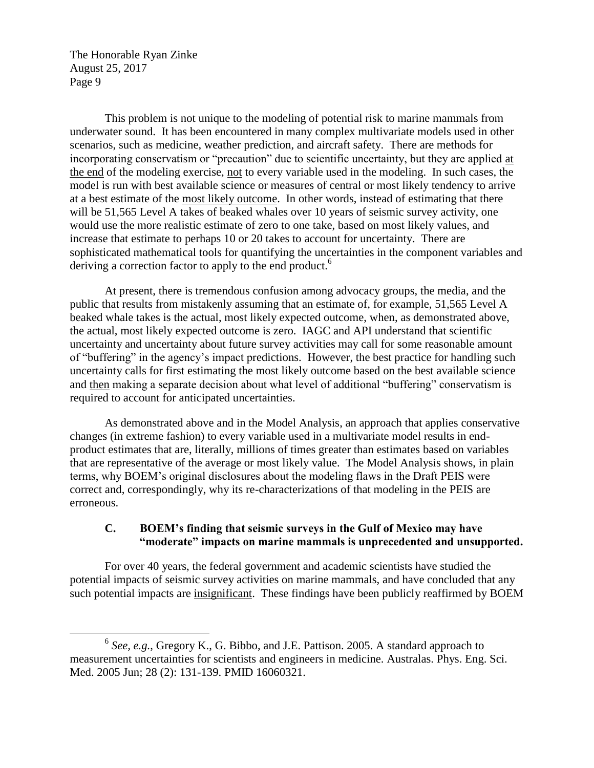$\overline{a}$ 

This problem is not unique to the modeling of potential risk to marine mammals from underwater sound. It has been encountered in many complex multivariate models used in other scenarios, such as medicine, weather prediction, and aircraft safety. There are methods for incorporating conservatism or "precaution" due to scientific uncertainty, but they are applied at the end of the modeling exercise, not to every variable used in the modeling. In such cases, the model is run with best available science or measures of central or most likely tendency to arrive at a best estimate of the most likely outcome. In other words, instead of estimating that there will be 51,565 Level A takes of beaked whales over 10 years of seismic survey activity, one would use the more realistic estimate of zero to one take, based on most likely values, and increase that estimate to perhaps 10 or 20 takes to account for uncertainty. There are sophisticated mathematical tools for quantifying the uncertainties in the component variables and deriving a correction factor to apply to the end product.<sup>6</sup>

At present, there is tremendous confusion among advocacy groups, the media, and the public that results from mistakenly assuming that an estimate of, for example, 51,565 Level A beaked whale takes is the actual, most likely expected outcome, when, as demonstrated above, the actual, most likely expected outcome is zero. IAGC and API understand that scientific uncertainty and uncertainty about future survey activities may call for some reasonable amount of "buffering" in the agency's impact predictions. However, the best practice for handling such uncertainty calls for first estimating the most likely outcome based on the best available science and then making a separate decision about what level of additional "buffering" conservatism is required to account for anticipated uncertainties.

As demonstrated above and in the Model Analysis, an approach that applies conservative changes (in extreme fashion) to every variable used in a multivariate model results in endproduct estimates that are, literally, millions of times greater than estimates based on variables that are representative of the average or most likely value. The Model Analysis shows, in plain terms, why BOEM's original disclosures about the modeling flaws in the Draft PEIS were correct and, correspondingly, why its re-characterizations of that modeling in the PEIS are erroneous.

# **C. BOEM's finding that seismic surveys in the Gulf of Mexico may have "moderate" impacts on marine mammals is unprecedented and unsupported.**

For over 40 years, the federal government and academic scientists have studied the potential impacts of seismic survey activities on marine mammals, and have concluded that any such potential impacts are insignificant. These findings have been publicly reaffirmed by BOEM

<sup>6</sup> *See, e.g.*, Gregory K., G. Bibbo, and J.E. Pattison. 2005. A standard approach to measurement uncertainties for scientists and engineers in medicine. Australas. Phys. Eng. Sci. Med. 2005 Jun; 28 (2): 131-139. PMID 16060321.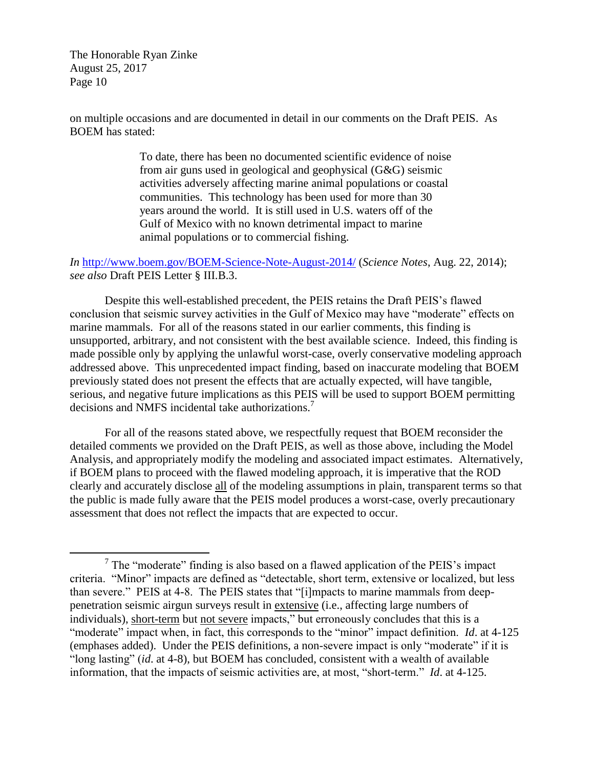$\overline{a}$ 

on multiple occasions and are documented in detail in our comments on the Draft PEIS. As BOEM has stated:

> To date, there has been no documented scientific evidence of noise from air guns used in geological and geophysical (G&G) seismic activities adversely affecting marine animal populations or coastal communities. This technology has been used for more than 30 years around the world. It is still used in U.S. waters off of the Gulf of Mexico with no known detrimental impact to marine animal populations or to commercial fishing.

*In* <http://www.boem.gov/BOEM-Science-Note-August-2014/> (*Science Notes*, Aug. 22, 2014); *see also* Draft PEIS Letter § III.B.3.

Despite this well-established precedent, the PEIS retains the Draft PEIS's flawed conclusion that seismic survey activities in the Gulf of Mexico may have "moderate" effects on marine mammals. For all of the reasons stated in our earlier comments, this finding is unsupported, arbitrary, and not consistent with the best available science. Indeed, this finding is made possible only by applying the unlawful worst-case, overly conservative modeling approach addressed above. This unprecedented impact finding, based on inaccurate modeling that BOEM previously stated does not present the effects that are actually expected, will have tangible, serious, and negative future implications as this PEIS will be used to support BOEM permitting decisions and NMFS incidental take authorizations.<sup>7</sup>

For all of the reasons stated above, we respectfully request that BOEM reconsider the detailed comments we provided on the Draft PEIS, as well as those above, including the Model Analysis, and appropriately modify the modeling and associated impact estimates. Alternatively, if BOEM plans to proceed with the flawed modeling approach, it is imperative that the ROD clearly and accurately disclose all of the modeling assumptions in plain, transparent terms so that the public is made fully aware that the PEIS model produces a worst-case, overly precautionary assessment that does not reflect the impacts that are expected to occur.

 $7$  The "moderate" finding is also based on a flawed application of the PEIS's impact criteria. "Minor" impacts are defined as "detectable, short term, extensive or localized, but less than severe." PEIS at 4-8. The PEIS states that "[i]mpacts to marine mammals from deeppenetration seismic airgun surveys result in extensive (i.e., affecting large numbers of individuals), short-term but not severe impacts," but erroneously concludes that this is a "moderate" impact when, in fact, this corresponds to the "minor" impact definition. *Id*. at 4-125 (emphases added). Under the PEIS definitions, a non-severe impact is only "moderate" if it is "long lasting" (*id*. at 4-8), but BOEM has concluded, consistent with a wealth of available information, that the impacts of seismic activities are, at most, "short-term." *Id*. at 4-125.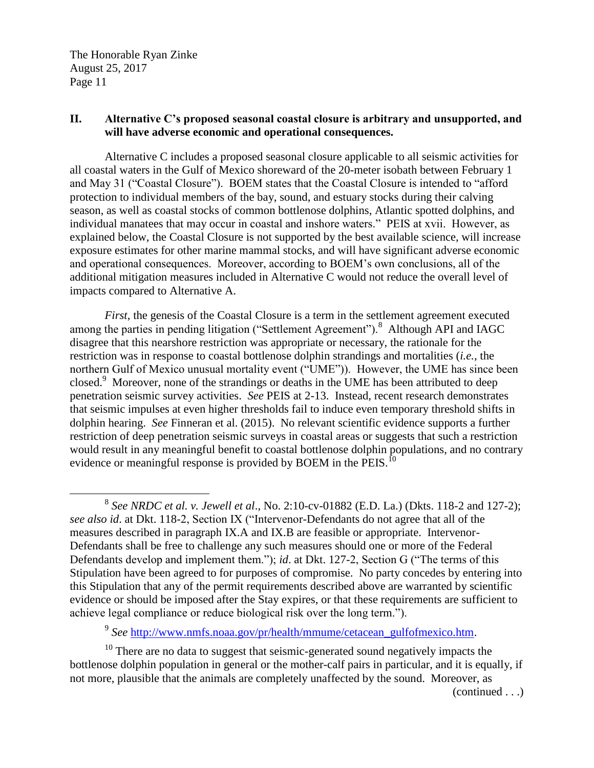$\overline{a}$ 

# **II. Alternative C's proposed seasonal coastal closure is arbitrary and unsupported, and will have adverse economic and operational consequences.**

Alternative C includes a proposed seasonal closure applicable to all seismic activities for all coastal waters in the Gulf of Mexico shoreward of the 20-meter isobath between February 1 and May 31 ("Coastal Closure"). BOEM states that the Coastal Closure is intended to "afford protection to individual members of the bay, sound, and estuary stocks during their calving season, as well as coastal stocks of common bottlenose dolphins, Atlantic spotted dolphins, and individual manatees that may occur in coastal and inshore waters." PEIS at xvii. However, as explained below, the Coastal Closure is not supported by the best available science, will increase exposure estimates for other marine mammal stocks, and will have significant adverse economic and operational consequences. Moreover, according to BOEM's own conclusions, all of the additional mitigation measures included in Alternative C would not reduce the overall level of impacts compared to Alternative A.

*First*, the genesis of the Coastal Closure is a term in the settlement agreement executed among the parties in pending litigation ("Settlement Agreement").<sup>8</sup> Although API and IAGC disagree that this nearshore restriction was appropriate or necessary, the rationale for the restriction was in response to coastal bottlenose dolphin strandings and mortalities (*i.e.*, the northern Gulf of Mexico unusual mortality event ("UME")). However, the UME has since been closed.<sup>9</sup> Moreover, none of the strandings or deaths in the UME has been attributed to deep penetration seismic survey activities. *See* PEIS at 2-13. Instead, recent research demonstrates that seismic impulses at even higher thresholds fail to induce even temporary threshold shifts in dolphin hearing. *See* Finneran et al. (2015). No relevant scientific evidence supports a further restriction of deep penetration seismic surveys in coastal areas or suggests that such a restriction would result in any meaningful benefit to coastal bottlenose dolphin populations, and no contrary evidence or meaningful response is provided by BOEM in the PEIS.<sup>10</sup>

<sup>9</sup> See [http://www.nmfs.noaa.gov/pr/health/mmume/cetacean\\_gulfofmexico.htm.](http://www.nmfs.noaa.gov/pr/health/mmume/cetacean_gulfofmexico.htm)

 $10$  There are no data to suggest that seismic-generated sound negatively impacts the bottlenose dolphin population in general or the mother-calf pairs in particular, and it is equally, if not more, plausible that the animals are completely unaffected by the sound. Moreover, as

(continued . . .)

<sup>8</sup> *See NRDC et al. v. Jewell et al*., No. 2:10-cv-01882 (E.D. La.) (Dkts. 118-2 and 127-2); *see also id*. at Dkt. 118-2, Section IX ("Intervenor-Defendants do not agree that all of the measures described in paragraph IX.A and IX.B are feasible or appropriate. Intervenor-Defendants shall be free to challenge any such measures should one or more of the Federal Defendants develop and implement them."); *id*. at Dkt. 127-2, Section G ("The terms of this Stipulation have been agreed to for purposes of compromise. No party concedes by entering into this Stipulation that any of the permit requirements described above are warranted by scientific evidence or should be imposed after the Stay expires, or that these requirements are sufficient to achieve legal compliance or reduce biological risk over the long term.").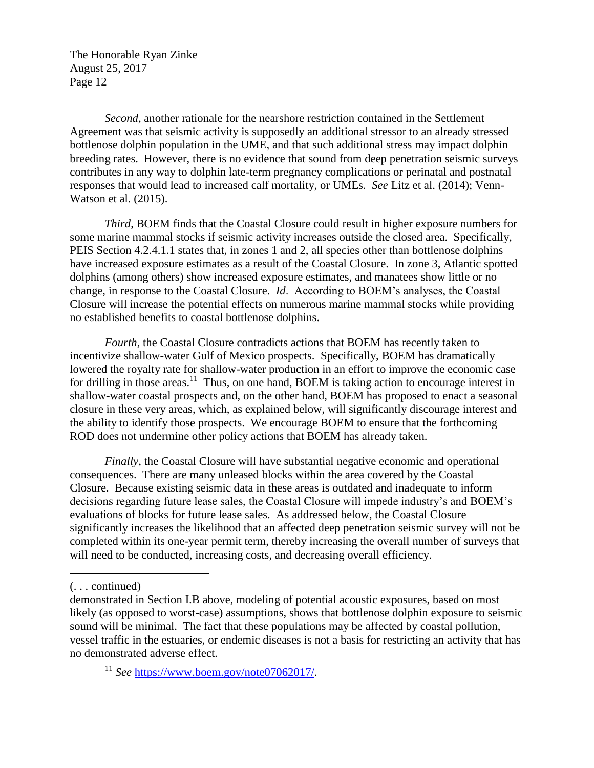*Second*, another rationale for the nearshore restriction contained in the Settlement Agreement was that seismic activity is supposedly an additional stressor to an already stressed bottlenose dolphin population in the UME, and that such additional stress may impact dolphin breeding rates. However, there is no evidence that sound from deep penetration seismic surveys contributes in any way to dolphin late-term pregnancy complications or perinatal and postnatal responses that would lead to increased calf mortality, or UMEs. *See* Litz et al. (2014); Venn-Watson et al. (2015).

*Third*, BOEM finds that the Coastal Closure could result in higher exposure numbers for some marine mammal stocks if seismic activity increases outside the closed area. Specifically, PEIS Section 4.2.4.1.1 states that, in zones 1 and 2, all species other than bottlenose dolphins have increased exposure estimates as a result of the Coastal Closure. In zone 3, Atlantic spotted dolphins (among others) show increased exposure estimates, and manatees show little or no change, in response to the Coastal Closure. *Id*. According to BOEM's analyses, the Coastal Closure will increase the potential effects on numerous marine mammal stocks while providing no established benefits to coastal bottlenose dolphins.

*Fourth*, the Coastal Closure contradicts actions that BOEM has recently taken to incentivize shallow-water Gulf of Mexico prospects. Specifically, BOEM has dramatically lowered the royalty rate for shallow-water production in an effort to improve the economic case for drilling in those areas.<sup>11</sup> Thus, on one hand, BOEM is taking action to encourage interest in shallow-water coastal prospects and, on the other hand, BOEM has proposed to enact a seasonal closure in these very areas, which, as explained below, will significantly discourage interest and the ability to identify those prospects. We encourage BOEM to ensure that the forthcoming ROD does not undermine other policy actions that BOEM has already taken.

*Finally*, the Coastal Closure will have substantial negative economic and operational consequences. There are many unleased blocks within the area covered by the Coastal Closure. Because existing seismic data in these areas is outdated and inadequate to inform decisions regarding future lease sales, the Coastal Closure will impede industry's and BOEM's evaluations of blocks for future lease sales. As addressed below, the Coastal Closure significantly increases the likelihood that an affected deep penetration seismic survey will not be completed within its one-year permit term, thereby increasing the overall number of surveys that will need to be conducted, increasing costs, and decreasing overall efficiency.

 $\overline{a}$ 

<sup>(. . .</sup> continued)

demonstrated in Section I.B above, modeling of potential acoustic exposures, based on most likely (as opposed to worst-case) assumptions, shows that bottlenose dolphin exposure to seismic sound will be minimal. The fact that these populations may be affected by coastal pollution, vessel traffic in the estuaries, or endemic diseases is not a basis for restricting an activity that has no demonstrated adverse effect.

<sup>&</sup>lt;sup>11</sup> See [https://www.boem.gov/note07062017/.](https://www.boem.gov/note07062017/)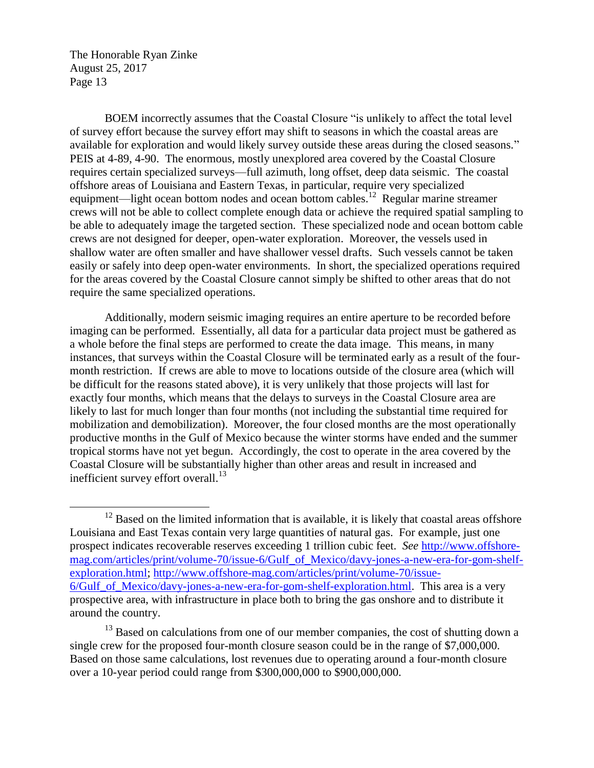$\overline{a}$ 

BOEM incorrectly assumes that the Coastal Closure "is unlikely to affect the total level of survey effort because the survey effort may shift to seasons in which the coastal areas are available for exploration and would likely survey outside these areas during the closed seasons." PEIS at 4-89, 4-90. The enormous, mostly unexplored area covered by the Coastal Closure requires certain specialized surveys—full azimuth, long offset, deep data seismic. The coastal offshore areas of Louisiana and Eastern Texas, in particular, require very specialized equipment—light ocean bottom nodes and ocean bottom cables.<sup>12</sup> Regular marine streamer crews will not be able to collect complete enough data or achieve the required spatial sampling to be able to adequately image the targeted section. These specialized node and ocean bottom cable crews are not designed for deeper, open-water exploration. Moreover, the vessels used in shallow water are often smaller and have shallower vessel drafts. Such vessels cannot be taken easily or safely into deep open-water environments. In short, the specialized operations required for the areas covered by the Coastal Closure cannot simply be shifted to other areas that do not require the same specialized operations.

Additionally, modern seismic imaging requires an entire aperture to be recorded before imaging can be performed. Essentially, all data for a particular data project must be gathered as a whole before the final steps are performed to create the data image. This means, in many instances, that surveys within the Coastal Closure will be terminated early as a result of the fourmonth restriction. If crews are able to move to locations outside of the closure area (which will be difficult for the reasons stated above), it is very unlikely that those projects will last for exactly four months, which means that the delays to surveys in the Coastal Closure area are likely to last for much longer than four months (not including the substantial time required for mobilization and demobilization). Moreover, the four closed months are the most operationally productive months in the Gulf of Mexico because the winter storms have ended and the summer tropical storms have not yet begun. Accordingly, the cost to operate in the area covered by the Coastal Closure will be substantially higher than other areas and result in increased and inefficient survey effort overall. $^{13}$ 

 $12$  Based on the limited information that is available, it is likely that coastal areas offshore Louisiana and East Texas contain very large quantities of natural gas. For example, just one prospect indicates recoverable reserves exceeding 1 trillion cubic feet. *See* [http://www.offshore](http://www.offshore-mag.com/articles/print/volume-70/issue-6/Gulf_of_Mexico/davy-jones-a-new-era-for-gom-shelf-exploration.html)[mag.com/articles/print/volume-70/issue-6/Gulf\\_of\\_Mexico/davy-jones-a-new-era-for-gom-shelf](http://www.offshore-mag.com/articles/print/volume-70/issue-6/Gulf_of_Mexico/davy-jones-a-new-era-for-gom-shelf-exploration.html)[exploration.html; http://www.offshore-mag.com/articles/print/volume-70/issue-](http://www.offshore-mag.com/articles/print/volume-70/issue-6/Gulf_of_Mexico/davy-jones-a-new-era-for-gom-shelf-exploration.html)[6/Gulf\\_of\\_Mexico/davy-jones-a-new-era-for-gom-shelf-exploration.html.](http://www.offshore-mag.com/articles/print/volume-70/issue-6/Gulf_of_Mexico/davy-jones-a-new-era-for-gom-shelf-exploration.html) This area is a very prospective area, with infrastructure in place both to bring the gas onshore and to distribute it around the country.

<sup>&</sup>lt;sup>13</sup> Based on calculations from one of our member companies, the cost of shutting down a single crew for the proposed four-month closure season could be in the range of \$7,000,000. Based on those same calculations, lost revenues due to operating around a four-month closure over a 10-year period could range from \$300,000,000 to \$900,000,000.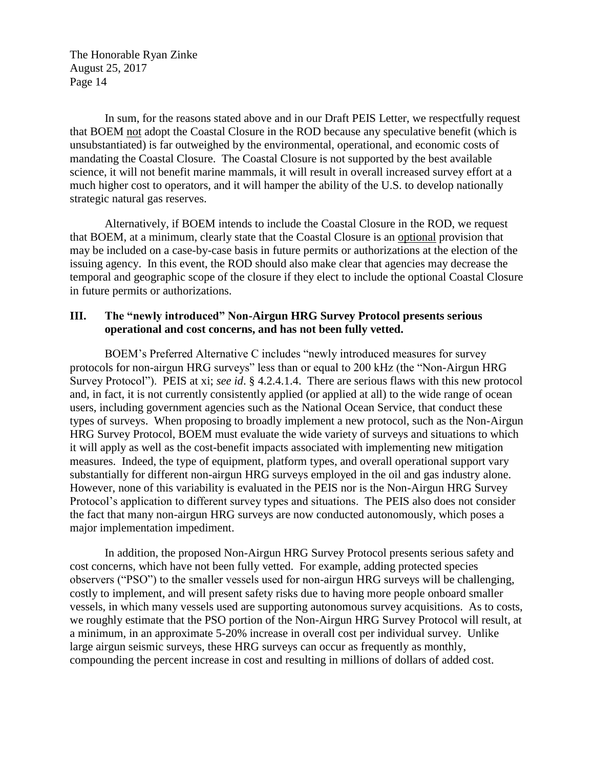In sum, for the reasons stated above and in our Draft PEIS Letter, we respectfully request that BOEM not adopt the Coastal Closure in the ROD because any speculative benefit (which is unsubstantiated) is far outweighed by the environmental, operational, and economic costs of mandating the Coastal Closure. The Coastal Closure is not supported by the best available science, it will not benefit marine mammals, it will result in overall increased survey effort at a much higher cost to operators, and it will hamper the ability of the U.S. to develop nationally strategic natural gas reserves.

Alternatively, if BOEM intends to include the Coastal Closure in the ROD, we request that BOEM, at a minimum, clearly state that the Coastal Closure is an optional provision that may be included on a case-by-case basis in future permits or authorizations at the election of the issuing agency. In this event, the ROD should also make clear that agencies may decrease the temporal and geographic scope of the closure if they elect to include the optional Coastal Closure in future permits or authorizations.

### **III. The "newly introduced" Non-Airgun HRG Survey Protocol presents serious operational and cost concerns, and has not been fully vetted.**

BOEM's Preferred Alternative C includes "newly introduced measures for survey protocols for non-airgun HRG surveys" less than or equal to 200 kHz (the "Non-Airgun HRG Survey Protocol"). PEIS at xi; *see id*. § 4.2.4.1.4. There are serious flaws with this new protocol and, in fact, it is not currently consistently applied (or applied at all) to the wide range of ocean users, including government agencies such as the National Ocean Service, that conduct these types of surveys. When proposing to broadly implement a new protocol, such as the Non-Airgun HRG Survey Protocol, BOEM must evaluate the wide variety of surveys and situations to which it will apply as well as the cost-benefit impacts associated with implementing new mitigation measures. Indeed, the type of equipment, platform types, and overall operational support vary substantially for different non-airgun HRG surveys employed in the oil and gas industry alone. However, none of this variability is evaluated in the PEIS nor is the Non-Airgun HRG Survey Protocol's application to different survey types and situations. The PEIS also does not consider the fact that many non-airgun HRG surveys are now conducted autonomously, which poses a major implementation impediment.

In addition, the proposed Non-Airgun HRG Survey Protocol presents serious safety and cost concerns, which have not been fully vetted. For example, adding protected species observers ("PSO") to the smaller vessels used for non-airgun HRG surveys will be challenging, costly to implement, and will present safety risks due to having more people onboard smaller vessels, in which many vessels used are supporting autonomous survey acquisitions. As to costs, we roughly estimate that the PSO portion of the Non-Airgun HRG Survey Protocol will result, at a minimum, in an approximate 5-20% increase in overall cost per individual survey. Unlike large airgun seismic surveys, these HRG surveys can occur as frequently as monthly, compounding the percent increase in cost and resulting in millions of dollars of added cost.